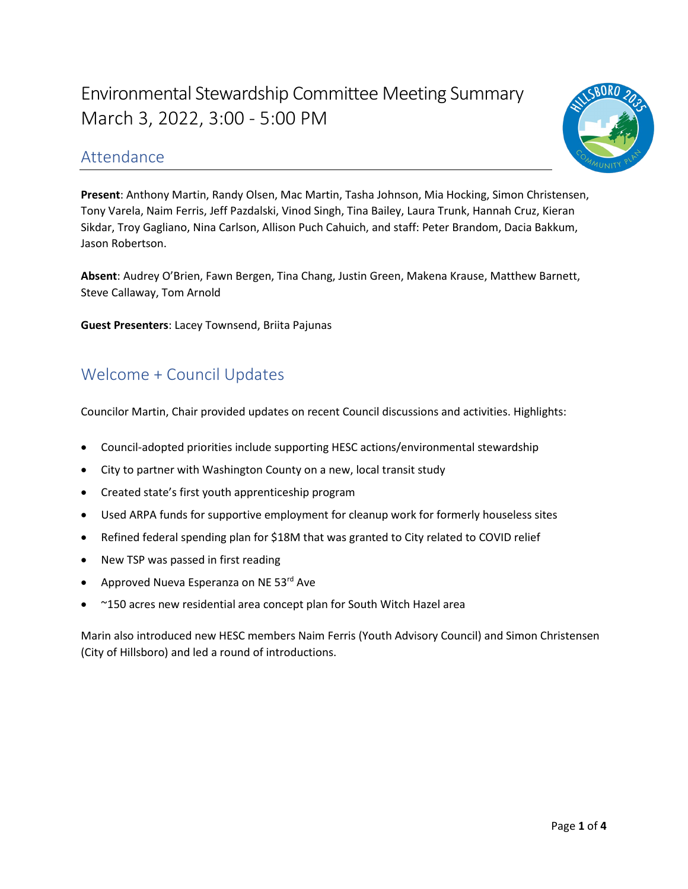# Environmental Stewardship Committee Meeting Summary March 3, 2022, 3:00 - 5:00 PM



### Attendance

**Present**: Anthony Martin, Randy Olsen, Mac Martin, Tasha Johnson, Mia Hocking, Simon Christensen, Tony Varela, Naim Ferris, Jeff Pazdalski, Vinod Singh, Tina Bailey, Laura Trunk, Hannah Cruz, Kieran Sikdar, Troy Gagliano, Nina Carlson, Allison Puch Cahuich, and staff: Peter Brandom, Dacia Bakkum, Jason Robertson.

 **Absent**: Audrey O'Brien, Fawn Bergen, Tina Chang, Justin Green, Makena Krause, Matthew Barnett, Steve Callaway, Tom Arnold

**Guest Presenters**: Lacey Townsend, Briita Pajunas

# Welcome + Council Updates

Councilor Martin, Chair provided updates on recent Council discussions and activities. Highlights:

- Council-adopted priorities include supporting HESC actions/environmental stewardship
- City to partner with Washington County on a new, local transit study
- Created state's first youth apprenticeship program
- Used ARPA funds for supportive employment for cleanup work for formerly houseless sites
- Refined federal spending plan for \$18M that was granted to City related to COVID relief
- New TSP was passed in first reading
- Approved Nueva Esperanza on NE 53<sup>rd</sup> Ave
- ~150 acres new residential area concept plan for South Witch Hazel area

 Marin also introduced new HESC members Naim Ferris (Youth Advisory Council) and Simon Christensen (City of Hillsboro) and led a round of introductions.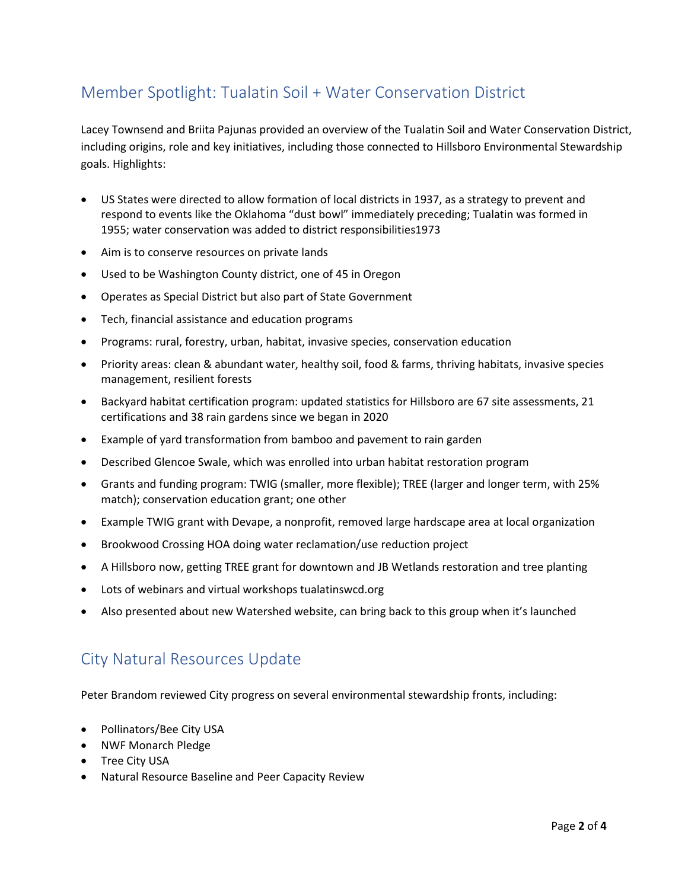# Member Spotlight: Tualatin Soil + Water Conservation District

 Lacey Townsend and Briita Pajunas provided an overview of the Tualatin Soil and Water Conservation District, including origins, role and key initiatives, including those connected to Hillsboro Environmental Stewardship goals. Highlights:

- • US States were directed to allow formation of local districts in 1937, as a strategy to prevent and respond to events like the Oklahoma "dust bowl" immediately preceding; Tualatin was formed in 1955; water conservation was added to district responsibilities1973
- Aim is to conserve resources on private lands
- Used to be Washington County district, one of 45 in Oregon
- Operates as Special District but also part of State Government
- Tech, financial assistance and education programs
- Programs: rural, forestry, urban, habitat, invasive species, conservation education
- Priority areas: clean & abundant water, healthy soil, food & farms, thriving habitats, invasive species management, resilient forests
- • Backyard habitat certification program: updated statistics for Hillsboro are 67 site assessments, 21 certifications and 38 rain gardens since we began in 2020
- Example of yard transformation from bamboo and pavement to rain garden
- Described Glencoe Swale, which was enrolled into urban habitat restoration program
- • Grants and funding program: TWIG (smaller, more flexible); TREE (larger and longer term, with 25% match); conservation education grant; one other
- Example TWIG grant with Devape, a nonprofit, removed large hardscape area at local organization
- Brookwood Crossing HOA doing water reclamation/use reduction project
- A Hillsboro now, getting TREE grant for downtown and JB Wetlands restoration and tree planting
- Lots of webinars and virtual workshops [tualatinswcd.org](https://tualatinswcd.org)
- Also presented about new Watershed website, can bring back to this group when it's launched

### City Natural Resources Update

Peter Brandom reviewed City progress on several environmental stewardship fronts, including:

- Pollinators/Bee City USA
- NWF Monarch Pledge
- Tree City USA
- Natural Resource Baseline and Peer Capacity Review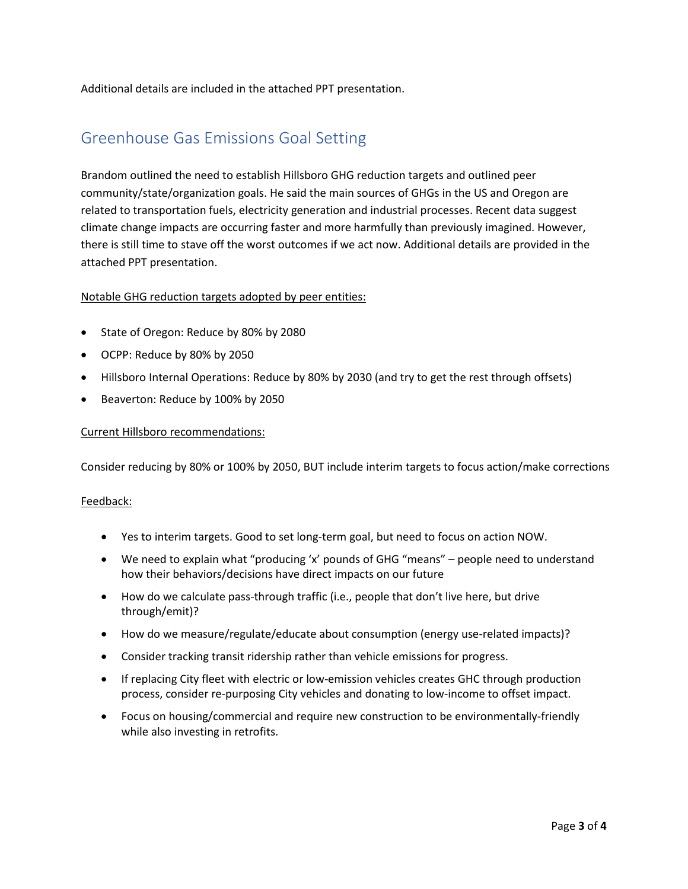Additional details are included in the attached PPT presentation.

# Greenhouse Gas Emissions Goal Setting

 Brandom outlined the need to establish Hillsboro GHG reduction targets and outlined peer community/state/organization goals. He said the main sources of GHGs in the US and Oregon are related to transportation fuels, electricity generation and industrial processes. Recent data suggest climate change impacts are occurring faster and more harmfully than previously imagined. However, there is still time to stave off the worst outcomes if we act now. Additional details are provided in the attached PPT presentation.

### Notable GHG reduction targets adopted by peer entities:

- State of Oregon: Reduce by 80% by 2080
- OCPP: Reduce by 80% by 2050
- Hillsboro Internal Operations: Reduce by 80% by 2030 (and try to get the rest through offsets)
- Beaverton: Reduce by 100% by 2050

#### Current Hillsboro recommendations:

Consider reducing by 80% or 100% by 2050, BUT include interim targets to focus action/make corrections

#### Feedback:

- Yes to interim targets. Good to set long-term goal, but need to focus on action NOW.
- We need to explain what "producing 'x' pounds of GHG "means" people need to understand how their behaviors/decisions have direct impacts on our future
- through/emit)? • How do we calculate pass-through traffic (i.e., people that don't live here, but drive
- How do we measure/regulate/educate about consumption (energy use-related impacts)?
- Consider tracking transit ridership rather than vehicle emissions for progress.
- • If replacing City fleet with electric or low-emission vehicles creates GHC through production process, consider re-purposing City vehicles and donating to low-income to offset impact.
- Focus on housing/commercial and require new construction to be environmentally-friendly while also investing in retrofits.